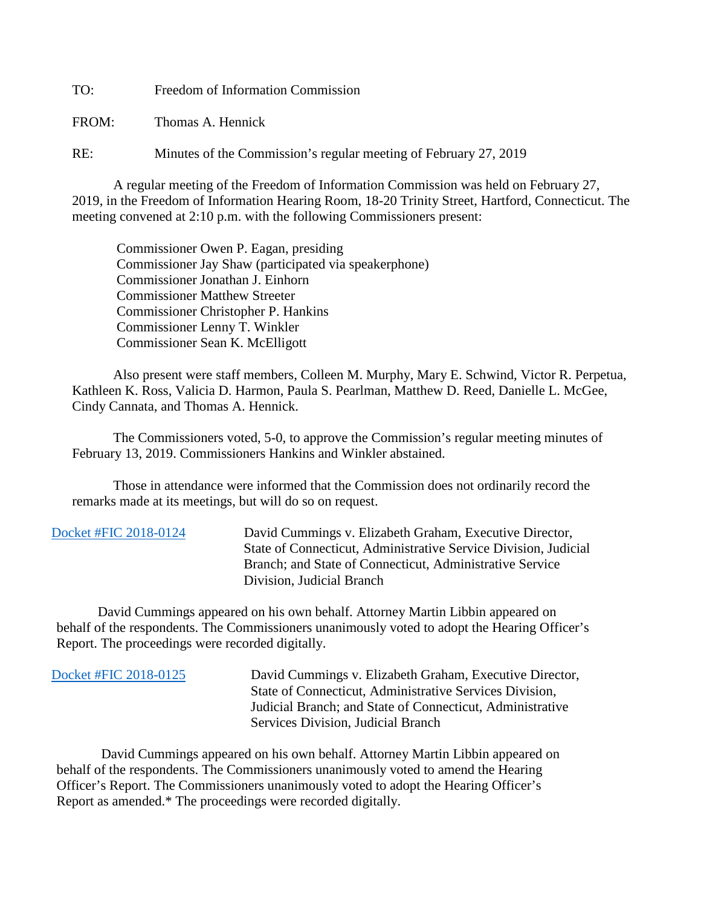TO: Freedom of Information Commission

FROM: Thomas A. Hennick

RE: Minutes of the Commission's regular meeting of February 27, 2019

A regular meeting of the Freedom of Information Commission was held on February 27, 2019, in the Freedom of Information Hearing Room, 18-20 Trinity Street, Hartford, Connecticut. The meeting convened at 2:10 p.m. with the following Commissioners present:

 Commissioner Owen P. Eagan, presiding Commissioner Jay Shaw (participated via speakerphone) Commissioner Jonathan J. Einhorn Commissioner Matthew Streeter Commissioner Christopher P. Hankins Commissioner Lenny T. Winkler Commissioner Sean K. McElligott

 Also present were staff members, Colleen M. Murphy, Mary E. Schwind, Victor R. Perpetua, Kathleen K. Ross, Valicia D. Harmon, Paula S. Pearlman, Matthew D. Reed, Danielle L. McGee, Cindy Cannata, and Thomas A. Hennick.

The Commissioners voted, 5-0, to approve the Commission's regular meeting minutes of February 13, 2019. Commissioners Hankins and Winkler abstained.

 Those in attendance were informed that the Commission does not ordinarily record the remarks made at its meetings, but will do so on request.

| Docket #FIC 2018-0124 | David Cummings v. Elizabeth Graham, Executive Director,<br>State of Connecticut, Administrative Service Division, Judicial<br>Branch; and State of Connecticut, Administrative Service |
|-----------------------|----------------------------------------------------------------------------------------------------------------------------------------------------------------------------------------|
|                       | Division, Judicial Branch                                                                                                                                                              |

 David Cummings appeared on his own behalf. Attorney Martin Libbin appeared on behalf of the respondents. The Commissioners unanimously voted to adopt the Hearing Officer's Report. The proceedings were recorded digitally.

 [Docket #FIC 2018-0125](https://www.ct.gov/foi/lib/foi/minutes/2019/feb27/2018-0125.pdf) David Cummings v. Elizabeth Graham, Executive Director, State of Connecticut, Administrative Services Division, Judicial Branch; and State of Connecticut, Administrative Services Division, Judicial Branch

 David Cummings appeared on his own behalf. Attorney Martin Libbin appeared on behalf of the respondents. The Commissioners unanimously voted to amend the Hearing Officer's Report. The Commissioners unanimously voted to adopt the Hearing Officer's Report as amended.\* The proceedings were recorded digitally.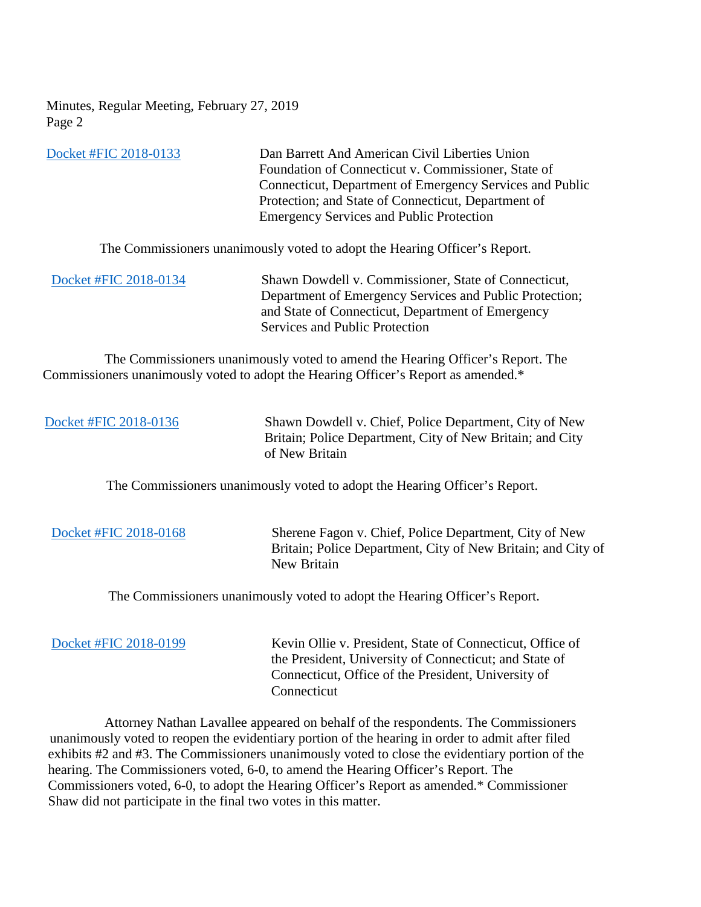Minutes, Regular Meeting, February 27, 2019 Page 2

| Docket #FIC 2018-0133 | Dan Barrett And American Civil Liberties Union                                                                                                                                                                                                                                       |
|-----------------------|--------------------------------------------------------------------------------------------------------------------------------------------------------------------------------------------------------------------------------------------------------------------------------------|
|                       | Foundation of Connecticut v. Commissioner, State of                                                                                                                                                                                                                                  |
|                       | Connecticut, Department of Emergency Services and Public                                                                                                                                                                                                                             |
|                       | Protection; and State of Connecticut, Department of                                                                                                                                                                                                                                  |
|                       | <b>Emergency Services and Public Protection</b>                                                                                                                                                                                                                                      |
| Docket #FIC 2018-0134 | The Commissioners unanimously voted to adopt the Hearing Officer's Report.<br>Shawn Dowdell v. Commissioner, State of Connecticut,<br>Department of Emergency Services and Public Protection;<br>and State of Connecticut, Department of Emergency<br>Services and Public Protection |
|                       |                                                                                                                                                                                                                                                                                      |

 The Commissioners unanimously voted to amend the Hearing Officer's Report. The Commissioners unanimously voted to adopt the Hearing Officer's Report as amended.\*

[Docket #FIC 2018-0136](https://www.ct.gov/foi/lib/foi/minutes/2019/feb27/2018-0136.pdf) Shawn Dowdell v. Chief, Police Department, City of New Britain; Police Department, City of New Britain; and City of New Britain

The Commissioners unanimously voted to adopt the Hearing Officer's Report.

[Docket #FIC 2018-0168](https://www.ct.gov/foi/lib/foi/minutes/2019/feb27/2018-0168.pdf) Sherene Fagon v. Chief, Police Department, City of New Britain; Police Department, City of New Britain; and City of New Britain

The Commissioners unanimously voted to adopt the Hearing Officer's Report.

[Docket #FIC 2018-0199](https://www.ct.gov/foi/lib/foi/minutes/2019/feb27/2018-0199.pdf) Kevin Ollie v. President, State of Connecticut, Office of the President, University of Connecticut; and State of Connecticut, Office of the President, University of **Connecticut** 

 Attorney Nathan Lavallee appeared on behalf of the respondents. The Commissioners unanimously voted to reopen the evidentiary portion of the hearing in order to admit after filed exhibits #2 and #3. The Commissioners unanimously voted to close the evidentiary portion of the hearing. The Commissioners voted, 6-0, to amend the Hearing Officer's Report. The Commissioners voted, 6-0, to adopt the Hearing Officer's Report as amended.\* Commissioner Shaw did not participate in the final two votes in this matter.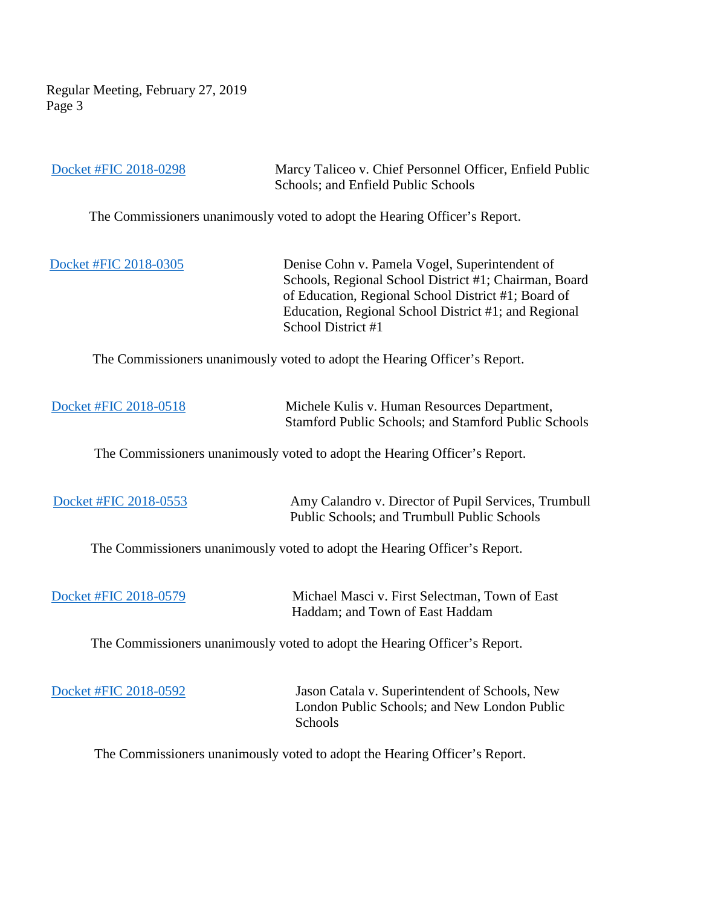Regular Meeting, February 27, 2019 Page 3

| Docket #FIC 2018-0298                                                      | Marcy Taliceo v. Chief Personnel Officer, Enfield Public<br>Schools; and Enfield Public Schools                                                                                                                                              |
|----------------------------------------------------------------------------|----------------------------------------------------------------------------------------------------------------------------------------------------------------------------------------------------------------------------------------------|
|                                                                            | The Commissioners unanimously voted to adopt the Hearing Officer's Report.                                                                                                                                                                   |
| Docket #FIC 2018-0305                                                      | Denise Cohn v. Pamela Vogel, Superintendent of<br>Schools, Regional School District #1; Chairman, Board<br>of Education, Regional School District #1; Board of<br>Education, Regional School District #1; and Regional<br>School District #1 |
|                                                                            | The Commissioners unanimously voted to adopt the Hearing Officer's Report.                                                                                                                                                                   |
| Docket #FIC 2018-0518                                                      | Michele Kulis v. Human Resources Department,<br>Stamford Public Schools; and Stamford Public Schools                                                                                                                                         |
| The Commissioners unanimously voted to adopt the Hearing Officer's Report. |                                                                                                                                                                                                                                              |
| Docket #FIC 2018-0553                                                      | Amy Calandro v. Director of Pupil Services, Trumbull<br>Public Schools; and Trumbull Public Schools                                                                                                                                          |
|                                                                            | The Commissioners unanimously voted to adopt the Hearing Officer's Report.                                                                                                                                                                   |
| Docket #FIC 2018-0579                                                      | Michael Masci v. First Selectman, Town of East<br>Haddam; and Town of East Haddam                                                                                                                                                            |
|                                                                            | The Commissioners unanimously voted to adopt the Hearing Officer's Report.                                                                                                                                                                   |
| Docket #FIC 2018-0592                                                      | Jason Catala v. Superintendent of Schools, New<br>London Public Schools; and New London Public<br>Schools                                                                                                                                    |
|                                                                            | The Commissioners unanimously voted to adopt the Hearing Officer's Report.                                                                                                                                                                   |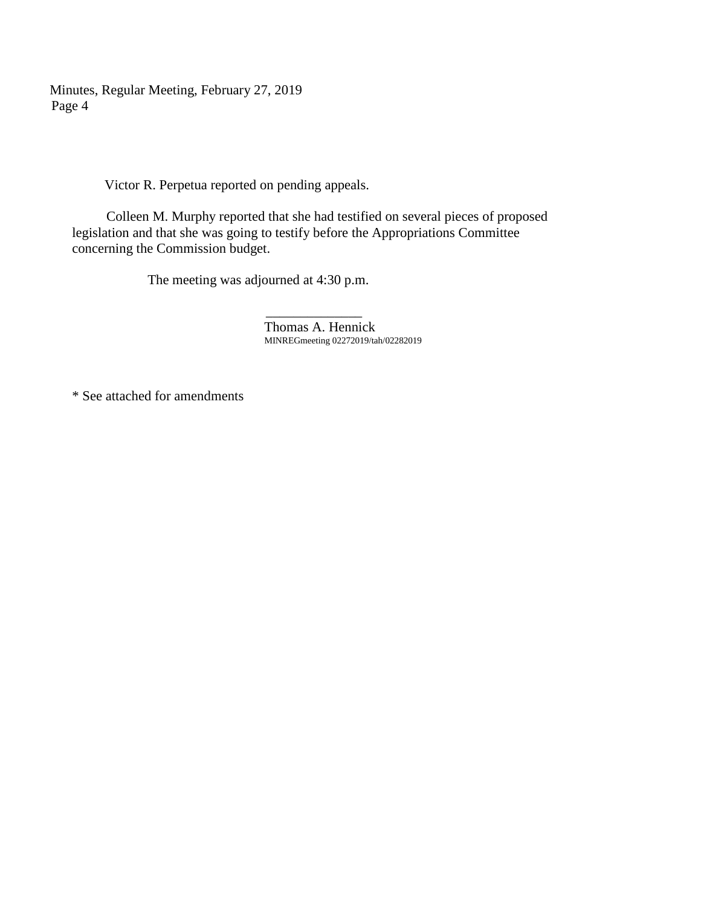Minutes, Regular Meeting, February 27, 2019 Page 4

Victor R. Perpetua reported on pending appeals.

 Colleen M. Murphy reported that she had testified on several pieces of proposed legislation and that she was going to testify before the Appropriations Committee concerning the Commission budget.

The meeting was adjourned at 4:30 p.m.

 $\mathcal{L}_\text{max}$  , which is a set of the set of the set of the set of the set of the set of the set of the set of the set of the set of the set of the set of the set of the set of the set of the set of the set of the set of Thomas A. Hennick MINREGmeeting 02272019/tah/02282019

\* See attached for amendments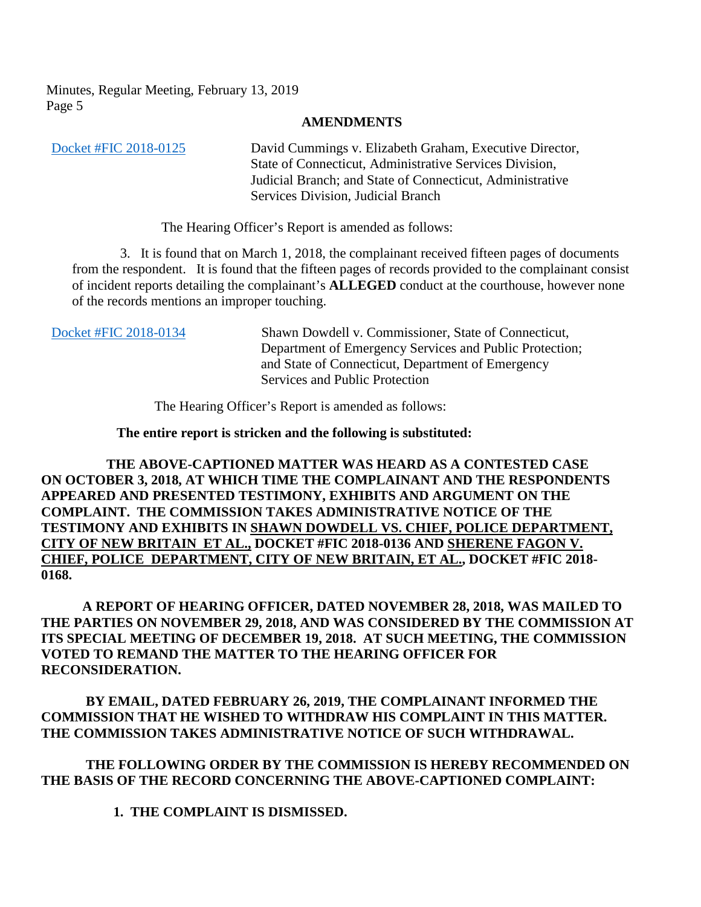Minutes, Regular Meeting, February 13, 2019 Page 5

## **AMENDMENTS**

[Docket #FIC 2018-0125](https://www.ct.gov/foi/lib/foi/minutes/2019/feb27/2018-0125.pdf) David Cummings v. Elizabeth Graham, Executive Director, State of Connecticut, Administrative Services Division, Judicial Branch; and State of Connecticut, Administrative Services Division, Judicial Branch

The Hearing Officer's Report is amended as follows:

3. It is found that on March 1, 2018, the complainant received fifteen pages of documents from the respondent. It is found that the fifteen pages of records provided to the complainant consist of incident reports detailing the complainant's **ALLEGED** conduct at the courthouse, however none of the records mentions an improper touching.

[Docket #FIC 2018-0134](https://www.ct.gov/foi/lib/foi/minutes/2019/feb27/2018-0134.pdf) Shawn Dowdell v. Commissioner, State of Connecticut, Department of Emergency Services and Public Protection; and State of Connecticut, Department of Emergency Services and Public Protection

The Hearing Officer's Report is amended as follows:

**The entire report is stricken and the following is substituted:**

 **THE ABOVE-CAPTIONED MATTER WAS HEARD AS A CONTESTED CASE ON OCTOBER 3, 2018, AT WHICH TIME THE COMPLAINANT AND THE RESPONDENTS APPEARED AND PRESENTED TESTIMONY, EXHIBITS AND ARGUMENT ON THE COMPLAINT. THE COMMISSION TAKES ADMINISTRATIVE NOTICE OF THE TESTIMONY AND EXHIBITS IN SHAWN DOWDELL VS. CHIEF, POLICE DEPARTMENT, CITY OF NEW BRITAIN ET AL., DOCKET #FIC 2018-0136 AND SHERENE FAGON V. CHIEF, POLICE DEPARTMENT, CITY OF NEW BRITAIN, ET AL., DOCKET #FIC 2018- 0168.** 

**A REPORT OF HEARING OFFICER, DATED NOVEMBER 28, 2018, WAS MAILED TO THE PARTIES ON NOVEMBER 29, 2018, AND WAS CONSIDERED BY THE COMMISSION AT ITS SPECIAL MEETING OF DECEMBER 19, 2018. AT SUCH MEETING, THE COMMISSION VOTED TO REMAND THE MATTER TO THE HEARING OFFICER FOR RECONSIDERATION.** 

**BY EMAIL, DATED FEBRUARY 26, 2019, THE COMPLAINANT INFORMED THE COMMISSION THAT HE WISHED TO WITHDRAW HIS COMPLAINT IN THIS MATTER. THE COMMISSION TAKES ADMINISTRATIVE NOTICE OF SUCH WITHDRAWAL.**

**THE FOLLOWING ORDER BY THE COMMISSION IS HEREBY RECOMMENDED ON THE BASIS OF THE RECORD CONCERNING THE ABOVE-CAPTIONED COMPLAINT:**

**1. THE COMPLAINT IS DISMISSED.**